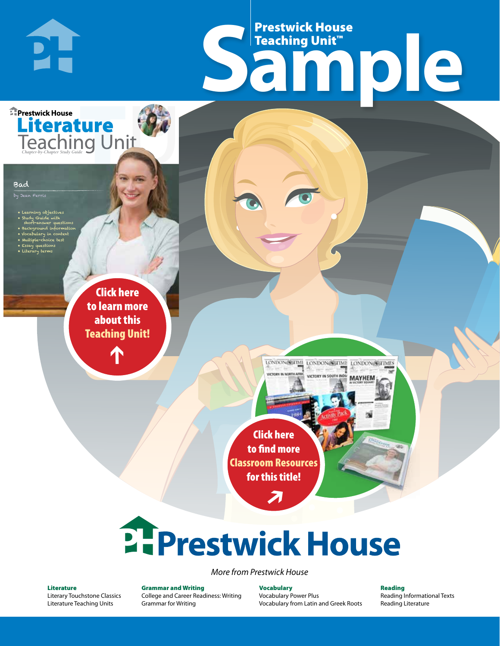# Frestwick House<br>
Sample Prestwick House Teaching Unit™

LONDON-SCITME LONDON/SCITME LONDON/SCITMES **UNTRAN IN COIL** 

**MAYHEM** 

**Prestwick House Literature**<br>Teaching Unit

**PH** 

#### Bad

.<br>Jean Ferris

- Learning objectives
- Study Guide with
- short-answer questions • Background information
- Vocabulary in context • Multiple-choice test

CHARLES DICKENS

- Essay questions
- **A Tale of Two Cities** • Literary terms

r e o r d e r n o . x x x x x x Click here to learn more about this [Teaching Unit!](https://www.prestwickhouse.com/pdf/id-201345/Bad_-_Downloadable_Teaching_Unit)

 $\mathbf{T}$ 

1

Click here to find more [Classroom Resources](http://teaching-english.prestwickhouse.com/search#w=bad)  for this title!

 $\overline{\boldsymbol{\lambda}}$ 

# 2. Prestwick House

#### *More from Prestwick House*

#### Literature

[Literary Touchstone Classics](https://www.prestwickhouse.com/literary-touchstone-classics) [Literature Teaching Units](https://www.prestwickhouse.com/teaching-units)

Grammar and Writing [College and Career Readiness: Writing](https://www.prestwickhouse.com/college-and-career-readiness-writing) [Grammar for Writing](https://www.prestwickhouse.com/book/id-302639/Grammar_for_Writing_-_30_Books_and_Teachers_Edition)

Vocabulary [Vocabulary Power Plus](https://www.prestwickhouse.com/vocabulary-power-plus-for-college-and-career-readiness) [Vocabulary from Latin and Greek Roots](https://www.prestwickhouse.com/vocabulary-from-latin-and-greek-roots) Reading

[Reading Informational Texts](https://www.prestwickhouse.com/reading-informational-texts) [Reading Literature](https://www.prestwickhouse.com/reading-literature)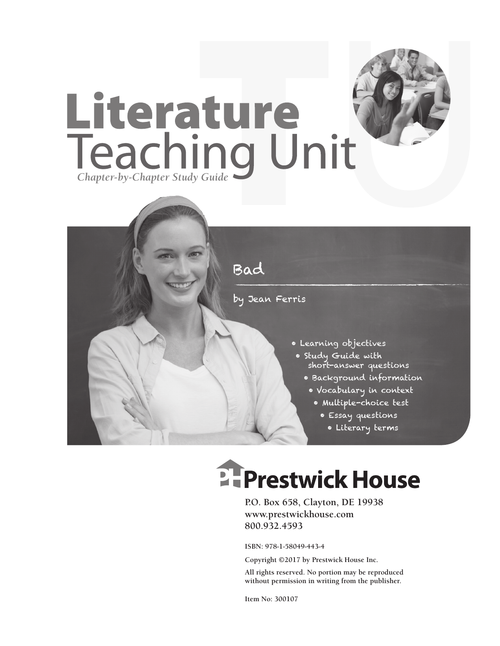



# **EFPrestwick House**

**P.O. Box 658, Clayton, DE 19938 www.prestwickhouse.com 800.932.4593**

**ISBN: 978-1-58049-443-4**

**Copyright ©2017 by Prestwick House Inc.**

**All rights reserved. No portion may be reproduced without permission in writing from the publisher.**

**Item No: 300107**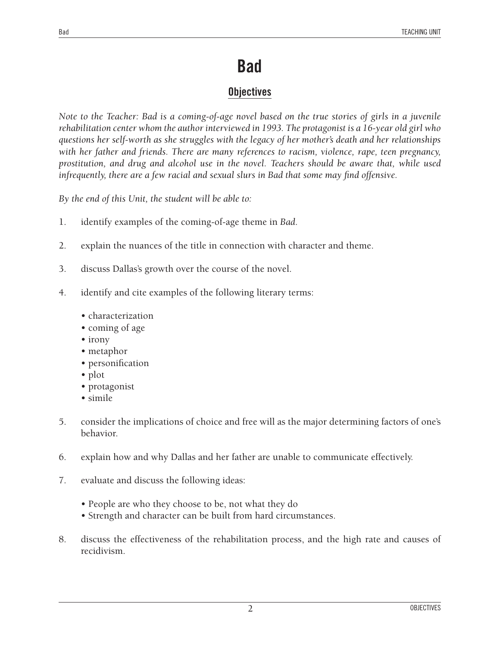### **Bad**

#### **Objectives**

*Note to the Teacher: Bad is a coming-of-age novel based on the true stories of girls in a juvenile rehabilitation center whom the author interviewed in 1993. The protagonist is a 16-year old girl who questions her self-worth as she struggles with the legacy of her mother's death and her relationships with her father and friends. There are many references to racism, violence, rape, teen pregnancy, prostitution, and drug and alcohol use in the novel. Teachers should be aware that, while used infrequently, there are a few racial and sexual slurs in Bad that some may find offensive.* 

*By the end of this Unit, the student will be able to:*

- 1. identify examples of the coming-of-age theme in *Bad*.
- 2. explain the nuances of the title in connection with character and theme.
- 3. discuss Dallas's growth over the course of the novel.
- 4. identify and cite examples of the following literary terms:
	- characterization
	- coming of age
	- irony
	- metaphor
	- personification
	- plot
	- protagonist
	- simile
- 5. consider the implications of choice and free will as the major determining factors of one's behavior.
- 6. explain how and why Dallas and her father are unable to communicate effectively.
- 7. evaluate and discuss the following ideas:
	- People are who they choose to be, not what they do
	- Strength and character can be built from hard circumstances.
- 8. discuss the effectiveness of the rehabilitation process, and the high rate and causes of recidivism.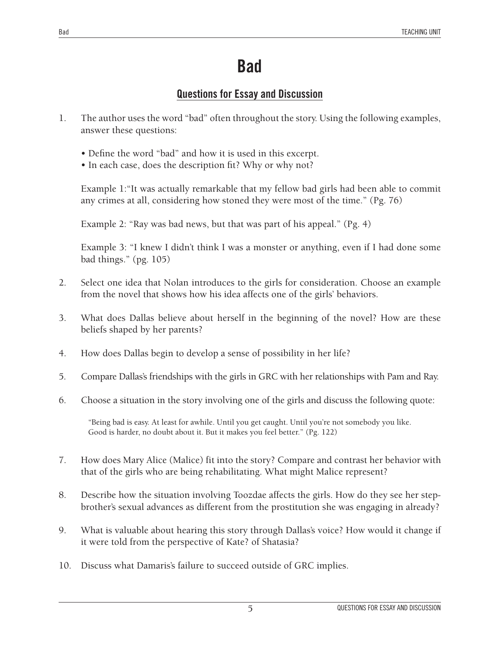## **Bad**

#### **Questions for Essay and Discussion**

- 1. The author uses the word "bad" often throughout the story. Using the following examples, answer these questions:
	- Define the word "bad" and how it is used in this excerpt.
	- In each case, does the description fit? Why or why not?

Example 1:"It was actually remarkable that my fellow bad girls had been able to commit any crimes at all, considering how stoned they were most of the time." (Pg. 76)

Example 2: "Ray was bad news, but that was part of his appeal." (Pg. 4)

Example 3: "I knew I didn't think I was a monster or anything, even if I had done some bad things." (pg. 105)

- 2. Select one idea that Nolan introduces to the girls for consideration. Choose an example from the novel that shows how his idea affects one of the girls' behaviors.
- 3. What does Dallas believe about herself in the beginning of the novel? How are these beliefs shaped by her parents?
- 4. How does Dallas begin to develop a sense of possibility in her life?
- 5. Compare Dallas's friendships with the girls in GRC with her relationships with Pam and Ray.
- 6. Choose a situation in the story involving one of the girls and discuss the following quote:

"Being bad is easy. At least for awhile. Until you get caught. Until you're not somebody you like. Good is harder, no doubt about it. But it makes you feel better." (Pg. 122)

- 7. How does Mary Alice (Malice) fit into the story? Compare and contrast her behavior with that of the girls who are being rehabilitating. What might Malice represent?
- 8. Describe how the situation involving Toozdae affects the girls. How do they see her stepbrother's sexual advances as different from the prostitution she was engaging in already?
- 9. What is valuable about hearing this story through Dallas's voice? How would it change if it were told from the perspective of Kate? of Shatasia?
- 10. Discuss what Damaris's failure to succeed outside of GRC implies.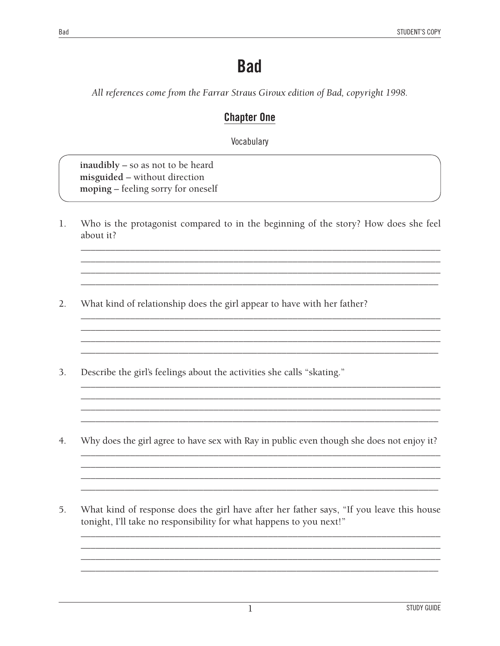## **Bad**

All references come from the Farrar Straus Giroux edition of Bad, copyright 1998.

#### **Chapter One**

Vocabulary

inaudibly - so as not to be heard misguided - without direction moping - feeling sorry for oneself

Who is the protagonist compared to in the beginning of the story? How does she feel 1. about it?

> <u> 1989 - Johann John Stone, mars and deutscher Stone (1989)</u> <u> 1989 - Johann Stoff, deutscher Stoff, der Stoff, der Stoff, der Stoff, der Stoff, der Stoff, der Stoff, der S</u>

- $2.$ What kind of relationship does the girl appear to have with her father?
- Describe the girl's feelings about the activities she calls "skating." 3.
- $4.$ Why does the girl agree to have sex with Ray in public even though she does not enjoy it?

<u> 1989 - Johann Barbara, martxa alemaniar arg</u>

What kind of response does the girl have after her father says, "If you leave this house 5. tonight, I'll take no responsibility for what happens to you next!"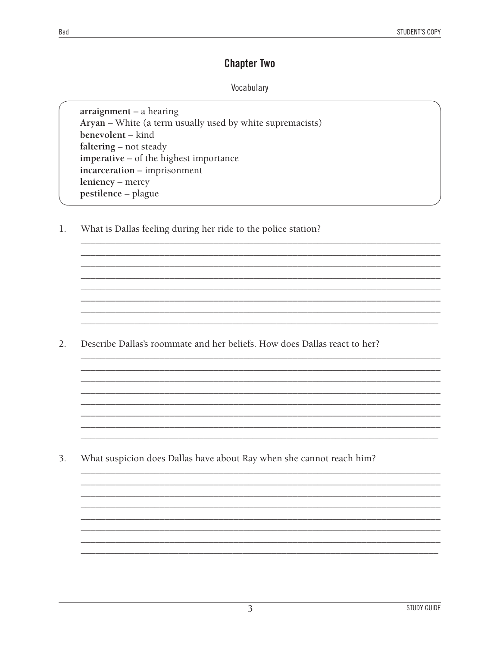#### **Chapter Two**

#### Vocabulary

 $\arraignement - a hearing$ Aryan - White (a term usually used by white supremacists) benevolent - kind faltering – not steady imperative - of the highest importance incarceration - imprisonment leniency - mercy pestilence - plague

 $1.$ What is Dallas feeling during her ride to the police station?

Describe Dallas's roommate and her beliefs. How does Dallas react to her?  $2.$ 

 $3.$ What suspicion does Dallas have about Ray when she cannot reach him?